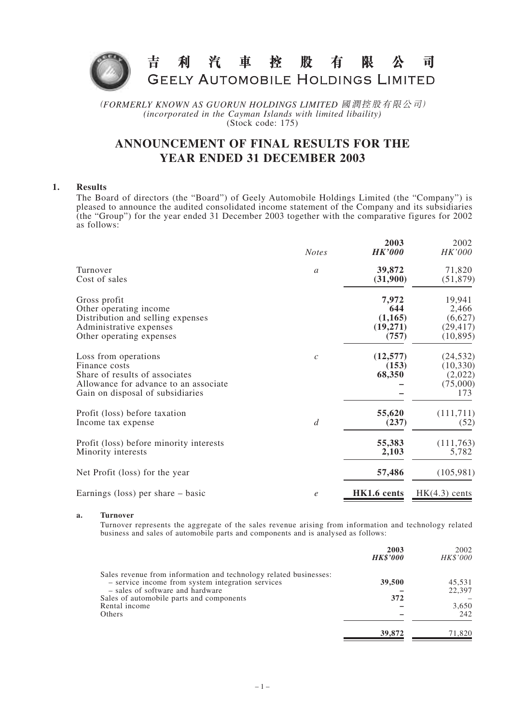

(*FORMERLY KNOWN AS GUORUN HOLDINGS LIMITED* 國潤控股有限公司) *(incorporated in the Cayman Islands with limited libaility)* (Stock code: 175)

# **ANNOUNCEMENT OF FINAL RESULTS FOR THE YEAR ENDED 31 DECEMBER 2003**

## **1. Results**

The Board of directors (the "Board") of Geely Automobile Holdings Limited (the "Company") is pleased to announce the audited consolidated income statement of the Company and its subsidiaries (the "Group") for the year ended 31 December 2003 together with the comparative figures for 2002 as follows:

|                                                                                                                                                      | <b>Notes</b>   | 2003<br><b>HK'000</b>        | 2002<br>HK'000                                       |
|------------------------------------------------------------------------------------------------------------------------------------------------------|----------------|------------------------------|------------------------------------------------------|
| Turnover                                                                                                                                             | $\mathfrak a$  | 39,872                       | 71,820                                               |
| Cost of sales                                                                                                                                        |                | (31,900)                     | (51, 879)                                            |
| Gross profit                                                                                                                                         |                | 7,972                        | 19,941                                               |
| Other operating income                                                                                                                               |                | 644                          | 2,466                                                |
| Distribution and selling expenses                                                                                                                    |                | (1, 165)                     | (6,627)                                              |
| Administrative expenses                                                                                                                              |                | (19,271)                     | (29, 417)                                            |
| Other operating expenses                                                                                                                             |                | (757)                        | (10, 895)                                            |
| Loss from operations<br>Finance costs<br>Share of results of associates<br>Allowance for advance to an associate<br>Gain on disposal of subsidiaries | $\mathcal{C}$  | (12, 577)<br>(153)<br>68,350 | (24, 532)<br>(10, 330)<br>(2,022)<br>(75,000)<br>173 |
| Profit (loss) before taxation                                                                                                                        | $\overline{d}$ | 55,620                       | (111,711)                                            |
| Income tax expense                                                                                                                                   |                | (237)                        | (52)                                                 |
| Profit (loss) before minority interests                                                                                                              |                | 55,383                       | (111,763)                                            |
| Minority interests                                                                                                                                   |                | 2,103                        | 5,782                                                |
| Net Profit (loss) for the year                                                                                                                       |                | 57,486                       | (105,981)                                            |
| Earnings (loss) per share $-$ basic                                                                                                                  | $\epsilon$     | HK1.6 cents                  | $HK(4.3)$ cents                                      |

#### **a. Turnover**

Turnover represents the aggregate of the sales revenue arising from information and technology related business and sales of automobile parts and components and is analysed as follows:

|                                                                   | 2003<br><b>HK\$'000</b> | 2002<br><b>HK\$'000</b> |
|-------------------------------------------------------------------|-------------------------|-------------------------|
| Sales revenue from information and technology related businesses: |                         |                         |
| - service income from system integration services                 | 39,500                  | 45,531                  |
| - sales of software and hardware                                  |                         | 22,397                  |
| Sales of automobile parts and components                          | 372                     |                         |
| Rental income                                                     |                         | 3,650                   |
| Others                                                            |                         | 242                     |
|                                                                   | 39,872                  | 71.820                  |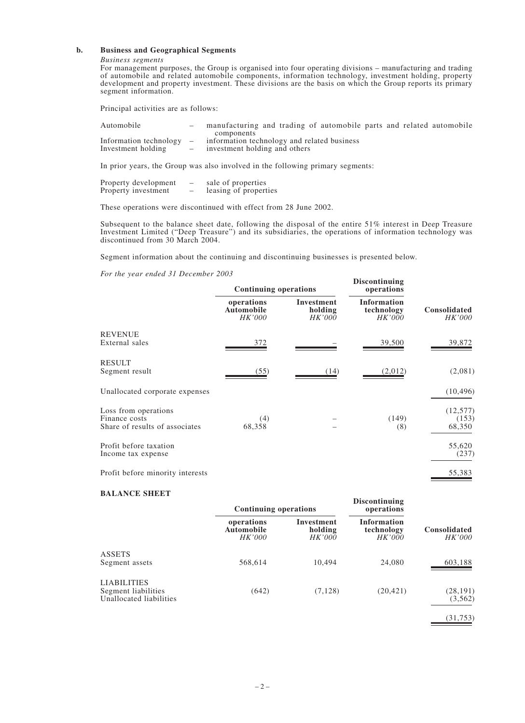#### **b. Business and Geographical Segments**

#### *Business segments*

For management purposes, the Group is organised into four operating divisions – manufacturing and trading of automobile and related automobile components, information technology, investment holding, property development and property investment. These divisions are the basis on which the Group reports its primary segment information.

Principal activities are as follows:

| Automobile                 | manufacturing and trading of automobile parts and related automobile |
|----------------------------|----------------------------------------------------------------------|
|                            | components                                                           |
| Information technology $-$ | information technology and related business                          |
| Investment holding         | investment holding and others                                        |

In prior years, the Group was also involved in the following primary segments:

| Property development |   | sale of properties    |
|----------------------|---|-----------------------|
| Property investment  | - | leasing of properties |

These operations were discontinued with effect from 28 June 2002.

Subsequent to the balance sheet date, following the disposal of the entire 51% interest in Deep Treasure Investment Limited ("Deep Treasure") and its subsidiaries, the operations of information technology was discontinued from 30 March 2004.

Segment information about the continuing and discontinuing businesses is presented below.

*For the year ended 31 December 2003*

|                                                                         | <b>Continuing operations</b>              |                                 | <b>Discontinuing</b><br>operations         |                              |
|-------------------------------------------------------------------------|-------------------------------------------|---------------------------------|--------------------------------------------|------------------------------|
|                                                                         | operations<br><b>Automobile</b><br>HK'000 | Investment<br>holding<br>HK'000 | <b>Information</b><br>technology<br>HK'000 | Consolidated<br>HK'000       |
| <b>REVENUE</b><br>External sales                                        | 372                                       |                                 | 39,500                                     | 39,872                       |
| <b>RESULT</b><br>Segment result                                         | (55)                                      | (14)                            | (2,012)                                    | (2,081)                      |
| Unallocated corporate expenses                                          |                                           |                                 |                                            | (10, 496)                    |
| Loss from operations<br>Finance costs<br>Share of results of associates | (4)<br>68,358                             |                                 | (149)<br>(8)                               | (12, 577)<br>(153)<br>68,350 |
| Profit before taxation<br>Income tax expense                            |                                           |                                 |                                            | 55,620<br>(237)              |
| Profit before minority interests                                        |                                           |                                 |                                            | 55,383                       |

#### **BALANCE SHEET**

|                                                                      | <b>Continuing operations</b>                     |                                        | <b>Discontinuing</b><br>operations                |                                      |
|----------------------------------------------------------------------|--------------------------------------------------|----------------------------------------|---------------------------------------------------|--------------------------------------|
|                                                                      | operations<br><b>Automobile</b><br><i>HK'000</i> | Investment<br>holding<br><i>HK'000</i> | <b>Information</b><br>technology<br><i>HK'000</i> | <b>Consolidated</b><br><i>HK'000</i> |
| <b>ASSETS</b><br>Segment assets                                      | 568,614                                          | 10.494                                 | 24,080                                            | 603,188                              |
| <b>LIABILITIES</b><br>Segment liabilities<br>Unallocated liabilities | (642)                                            | (7, 128)                               | (20, 421)                                         | (28, 191)<br>(3, 562)                |
|                                                                      |                                                  |                                        |                                                   | (31, 753)                            |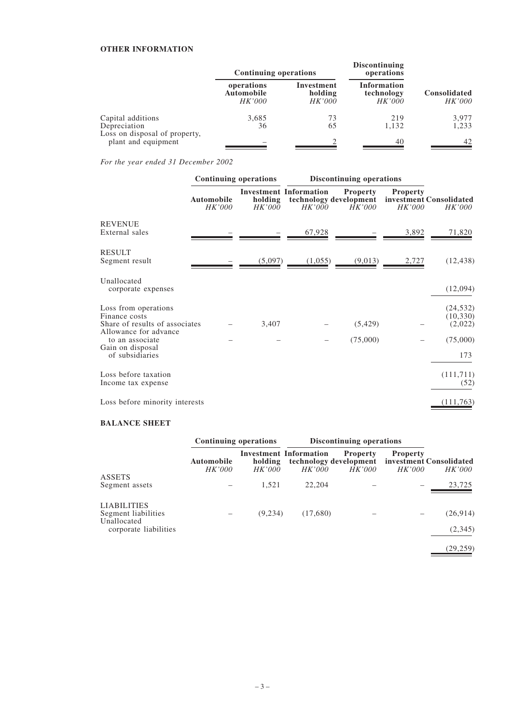# **OTHER INFORMATION**

|                                                      | <b>Continuing operations</b>                     |                                        | <b>Discontinuing</b><br>operations         |                                      |
|------------------------------------------------------|--------------------------------------------------|----------------------------------------|--------------------------------------------|--------------------------------------|
|                                                      | operations<br><b>Automobile</b><br><i>HK'000</i> | Investment<br>holding<br><i>HK'000</i> | Information<br>technology<br><i>HK'000</i> | <b>Consolidated</b><br><i>HK'000</i> |
| Capital additions                                    | 3,685                                            | 73                                     | 219                                        | 3,977                                |
| Depreciation                                         | 36                                               | 65                                     | 1,132                                      | 1,233                                |
| Loss on disposal of property,<br>plant and equipment |                                                  |                                        | 40                                         | 42                                   |

*For the year ended 31 December 2002*

|                                                                                                  | <b>Continuing operations</b>       |                   | <b>Discontinuing operations</b>         |                                                     |                           |                                          |
|--------------------------------------------------------------------------------------------------|------------------------------------|-------------------|-----------------------------------------|-----------------------------------------------------|---------------------------|------------------------------------------|
|                                                                                                  | <b>Automobile</b><br><i>HK'000</i> | holding<br>HK'000 | <b>Investment Information</b><br>HK'000 | <b>Property</b><br>technology development<br>HK'000 | <b>Property</b><br>HK'000 | investment Consolidated<br><i>HK'000</i> |
| <b>REVENUE</b><br>External sales                                                                 |                                    |                   | 67,928                                  |                                                     | 3,892                     | 71,820                                   |
| <b>RESULT</b><br>Segment result                                                                  |                                    | (5,097)           | (1,055)                                 | (9,013)                                             | 2,727                     | (12, 438)                                |
| Unallocated<br>corporate expenses                                                                |                                    |                   |                                         |                                                     |                           | (12,094)                                 |
| Loss from operations<br>Finance costs<br>Share of results of associates<br>Allowance for advance |                                    | 3,407             |                                         | (5, 429)                                            |                           | (24, 532)<br>(10, 330)<br>(2,022)        |
| to an associate<br>Gain on disposal<br>of subsidiaries                                           |                                    |                   |                                         | (75,000)                                            |                           | (75,000)<br>173                          |
| Loss before taxation<br>Income tax expense                                                       |                                    |                   |                                         |                                                     |                           | (111, 711)<br>(52)                       |
| Loss before minority interests                                                                   |                                    |                   |                                         |                                                     |                           | (111,763)                                |

#### **BALANCE SHEET**

|                                                          | <b>Continuing operations</b>       |                          | <b>Discontinuing operations</b>                                          |                                  |                                  |                                          |
|----------------------------------------------------------|------------------------------------|--------------------------|--------------------------------------------------------------------------|----------------------------------|----------------------------------|------------------------------------------|
|                                                          | <b>Automobile</b><br><i>HK'000</i> | holding<br><i>HK'000</i> | <b>Investment Information</b><br>technology development<br><i>HK'000</i> | <b>Property</b><br><i>HK'000</i> | <b>Property</b><br><i>HK'000</i> | investment Consolidated<br><i>HK'000</i> |
| <b>ASSETS</b><br>Segment assets                          |                                    | 1,521                    | 22,204                                                                   |                                  |                                  | 23,725                                   |
| <b>LIABILITIES</b><br>Segment liabilities<br>Unallocated |                                    | (9, 234)                 | (17,680)                                                                 |                                  |                                  | (26,914)                                 |
| corporate liabilities                                    |                                    |                          |                                                                          |                                  |                                  | (2,345)                                  |
|                                                          |                                    |                          |                                                                          |                                  |                                  | (29, 259)                                |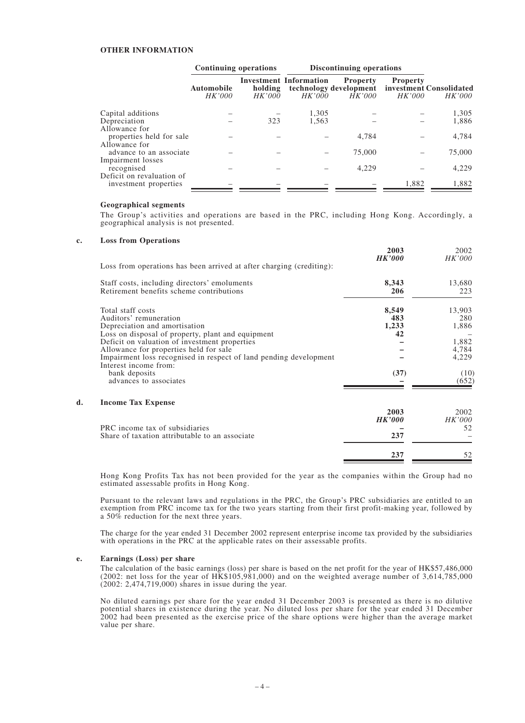#### **OTHER INFORMATION**

|                                                            | <b>Continuing operations</b>       |                   |                                         | <b>Discontinuing operations</b>                            |                           |                                   |
|------------------------------------------------------------|------------------------------------|-------------------|-----------------------------------------|------------------------------------------------------------|---------------------------|-----------------------------------|
|                                                            | <b>Automobile</b><br><i>HK'000</i> | holding<br>HK'000 | <b>Investment Information</b><br>HK'000 | <b>Property</b><br>technology development<br><i>HK'000</i> | <b>Property</b><br>HK'000 | investment Consolidated<br>HK'000 |
| Capital additions                                          |                                    |                   | 1,305                                   |                                                            |                           | 1,305                             |
| Depreciation                                               |                                    | 323               | 1,563                                   |                                                            |                           | 1,886                             |
| Allowance for<br>properties held for sale<br>Allowance for |                                    |                   |                                         | 4,784                                                      |                           | 4,784                             |
| advance to an associate                                    |                                    |                   |                                         | 75,000                                                     |                           | 75,000                            |
| Impairment losses<br>recognised                            |                                    |                   |                                         | 4,229                                                      |                           | 4,229                             |
| Deficit on revaluation of<br>investment properties         |                                    |                   |                                         |                                                            | 1,882                     | 1,882                             |

#### **Geographical segments**

The Group's activities and operations are based in the PRC, including Hong Kong. Accordingly, a geographical analysis is not presented.

#### **c. Loss from Operations**

| Staff costs, including directors' emoluments                                                                                                                                                                                                                                                                                                                          | 8,343<br>206                        | 13,680                                                             |
|-----------------------------------------------------------------------------------------------------------------------------------------------------------------------------------------------------------------------------------------------------------------------------------------------------------------------------------------------------------------------|-------------------------------------|--------------------------------------------------------------------|
| Retirement benefits scheme contributions                                                                                                                                                                                                                                                                                                                              |                                     | 223                                                                |
| Total staff costs<br>Auditors' remuneration<br>Depreciation and amortisation<br>Loss on disposal of property, plant and equipment<br>Deficit on valuation of investment properties<br>Allowance for properties held for sale<br>Impairment loss recognised in respect of land pending development<br>Interest income from:<br>bank deposits<br>advances to associates | 8,549<br>483<br>1,233<br>42<br>(37) | 13,903<br>280<br>1,886<br>1,882<br>4,784<br>4,229<br>(10)<br>(652) |
| d.<br><b>Income Tax Expense</b>                                                                                                                                                                                                                                                                                                                                       | 2003                                | 2002                                                               |
| PRC income tax of subsidiaries                                                                                                                                                                                                                                                                                                                                        | <b>HK'000</b>                       | <i>HK'000</i><br>52                                                |
| Share of taxation attributable to an associate                                                                                                                                                                                                                                                                                                                        | 237                                 |                                                                    |
|                                                                                                                                                                                                                                                                                                                                                                       | 237                                 | 52                                                                 |

Hong Kong Profits Tax has not been provided for the year as the companies within the Group had no estimated assessable profits in Hong Kong.

Pursuant to the relevant laws and regulations in the PRC, the Group's PRC subsidiaries are entitled to an exemption from PRC income tax for the two years starting from their first profit-making year, followed by a 50% reduction for the next three years.

The charge for the year ended 31 December 2002 represent enterprise income tax provided by the subsidiaries with operations in the PRC at the applicable rates on their assessable profits.

#### **e. Earnings (Loss) per share**

The calculation of the basic earnings (loss) per share is based on the net profit for the year of HK\$57,486,000 (2002: net loss for the year of HK\$105,981,000) and on the weighted average number of 3,614,785,000 (2002: 2,474,719,000) shares in issue during the year.

No diluted earnings per share for the year ended 31 December 2003 is presented as there is no dilutive potential shares in existence during the year. No diluted loss per share for the year ended 31 December 2002 had been presented as the exercise price of the share options were higher than the average market value per share.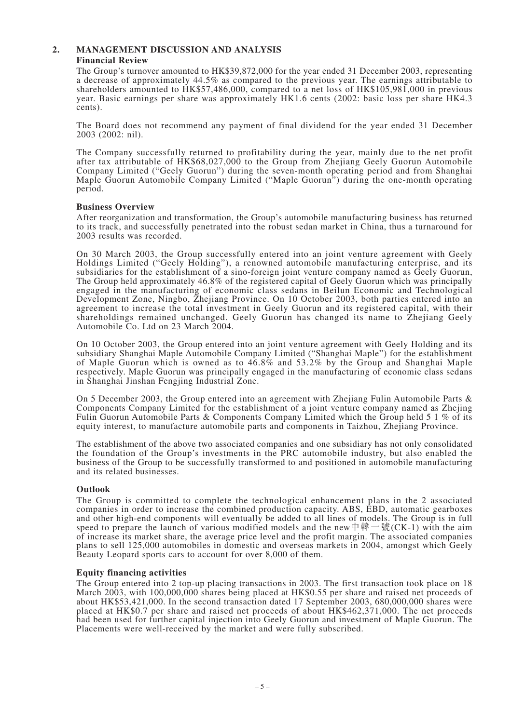# **2. MANAGEMENT DISCUSSION AND ANALYSIS Financial Review**

The Group's turnover amounted to HK\$39,872,000 for the year ended 31 December 2003, representing a decrease of approximately 44.5% as compared to the previous year. The earnings attributable to shareholders amounted to HK\$57,486,000, compared to a net loss of HK\$105,981,000 in previous year. Basic earnings per share was approximately HK1.6 cents (2002: basic loss per share HK4.3 cents).

The Board does not recommend any payment of final dividend for the year ended 31 December 2003 (2002: nil).

The Company successfully returned to profitability during the year, mainly due to the net profit after tax attributable of HK\$68,027,000 to the Group from Zhejiang Geely Guorun Automobile Company Limited ("Geely Guorun") during the seven-month operating period and from Shanghai Maple Guorun Automobile Company Limited ("Maple Guorun") during the one-month operating period.

# **Business Overview**

After reorganization and transformation, the Group's automobile manufacturing business has returned to its track, and successfully penetrated into the robust sedan market in China, thus a turnaround for 2003 results was recorded.

On 30 March 2003, the Group successfully entered into an joint venture agreement with Geely Holdings Limited ("Geely Holding"), a renowned automobile manufacturing enterprise, and its subsidiaries for the establishment of a sino-foreign joint venture company named as Geely Guorun, The Group held approximately 46.8% of the registered capital of Geely Guorun which was principally engaged in the manufacturing of economic class sedans in Beilun Economic and Technological Development Zone, Ningbo, Zhejiang Province. On 10 October 2003, both parties entered into an agreement to increase the total investment in Geely Guorun and its registered capital, with their shareholdings remained unchanged. Geely Guorun has changed its name to Zhejiang Geely Automobile Co. Ltd on 23 March 2004.

On 10 October 2003, the Group entered into an joint venture agreement with Geely Holding and its subsidiary Shanghai Maple Automobile Company Limited ("Shanghai Maple") for the establishment of Maple Guorun which is owned as to 46.8% and 53.2% by the Group and Shanghai Maple respectively. Maple Guorun was principally engaged in the manufacturing of economic class sedans in Shanghai Jinshan Fengjing Industrial Zone.

On 5 December 2003, the Group entered into an agreement with Zhejiang Fulin Automobile Parts & Components Company Limited for the establishment of a joint venture company named as Zhejing Fulin Guorun Automobile Parts & Components Company Limited which the Group held 5 1 % of its equity interest, to manufacture automobile parts and components in Taizhou, Zhejiang Province.

The establishment of the above two associated companies and one subsidiary has not only consolidated the foundation of the Group's investments in the PRC automobile industry, but also enabled the business of the Group to be successfully transformed to and positioned in automobile manufacturing and its related businesses.

# **Outlook**

The Group is committed to complete the technological enhancement plans in the 2 associated companies in order to increase the combined production capacity. ABS, EBD, automatic gearboxes and other high-end components will eventually be added to all lines of models. The Group is in full speed to prepare the launch of various modified models and the new  $\frac{m}{m} \pm \frac{m}{m}$  (CK-1) with the aim of increase its market share, the average price level and the profit margin. The associated companies plans to sell 125,000 automobiles in domestic and overseas markets in 2004, amongst which Geely Beauty Leopard sports cars to account for over 8,000 of them.

# **Equity financing activities**

The Group entered into 2 top-up placing transactions in 2003. The first transaction took place on 18 March 2003, with 100,000,000 shares being placed at HK\$0.55 per share and raised net proceeds of about HK\$53,421,000. In the second transaction dated 17 September 2003, 680,000,000 shares were placed at HK\$0.7 per share and raised net proceeds of about HK\$462,371,000. The net proceeds had been used for further capital injection into Geely Guorun and investment of Maple Guorun. The Placements were well-received by the market and were fully subscribed.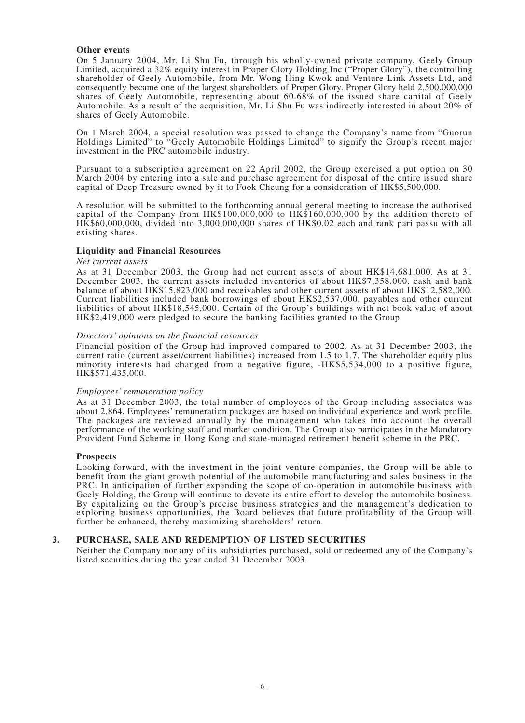# **Other events**

On 5 January 2004, Mr. Li Shu Fu, through his wholly-owned private company, Geely Group Limited, acquired a 32% equity interest in Proper Glory Holding Inc ("Proper Glory"), the controlling shareholder of Geely Automobile, from Mr. Wong Hing Kwok and Venture Link Assets Ltd, and consequently became one of the largest shareholders of Proper Glory. Proper Glory held 2,500,000,000 shares of Geely Automobile, representing about 60.68% of the issued share capital of Geely Automobile. As a result of the acquisition, Mr. Li Shu Fu was indirectly interested in about 20% of shares of Geely Automobile.

On 1 March 2004, a special resolution was passed to change the Company's name from "Guorun Holdings Limited" to "Geely Automobile Holdings Limited" to signify the Group's recent major investment in the PRC automobile industry.

Pursuant to a subscription agreement on 22 April 2002, the Group exercised a put option on 30 March 2004 by entering into a sale and purchase agreement for disposal of the entire issued share capital of Deep Treasure owned by it to Fook Cheung for a consideration of HK\$5,500,000.

A resolution will be submitted to the forthcoming annual general meeting to increase the authorised capital of the Company from HK\$100,000,000 to HK\$160,000,000 by the addition thereto of HK\$60,000,000, divided into 3,000,000,000 shares of HK\$0.02 each and rank pari passu with all existing shares.

#### **Liquidity and Financial Resources**

#### *Net current assets*

As at 31 December 2003, the Group had net current assets of about HK\$14,681,000. As at 31 December 2003, the current assets included inventories of about HK\$7,358,000, cash and bank balance of about HK\$15,823,000 and receivables and other current assets of about HK\$12,582,000. Current liabilities included bank borrowings of about HK\$2,537,000, payables and other current liabilities of about HK\$18,545,000. Certain of the Group's buildings with net book value of about HK\$2,419,000 were pledged to secure the banking facilities granted to the Group.

#### *Directors' opinions on the financial resources*

Financial position of the Group had improved compared to 2002. As at 31 December 2003, the current ratio (current asset/current liabilities) increased from 1.5 to 1.7. The shareholder equity plus minority interests had changed from a negative figure, -HK\$5,534,000 to a positive figure, HK\$571,435,000.

#### *Employees' remuneration policy*

As at 31 December 2003, the total number of employees of the Group including associates was about 2,864. Employees' remuneration packages are based on individual experience and work profile. The packages are reviewed annually by the management who takes into account the overall performance of the working staff and market condition. The Group also participates in the Mandatory Provident Fund Scheme in Hong Kong and state-managed retirement benefit scheme in the PRC.

#### **Prospects**

Looking forward, with the investment in the joint venture companies, the Group will be able to benefit from the giant growth potential of the automobile manufacturing and sales business in the PRC. In anticipation of further expanding the scope of co-operation in automobile business with Geely Holding, the Group will continue to devote its entire effort to develop the automobile business. By capitalizing on the Group's precise business strategies and the management's dedication to exploring business opportunities, the Board believes that future profitability of the Group will further be enhanced, thereby maximizing shareholders' return.

# **3. PURCHASE, SALE AND REDEMPTION OF LISTED SECURITIES**

Neither the Company nor any of its subsidiaries purchased, sold or redeemed any of the Company's listed securities during the year ended 31 December 2003.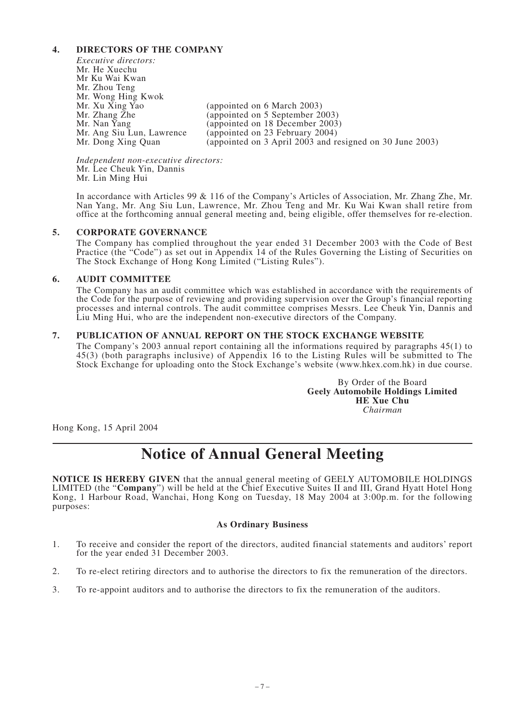# **4. DIRECTORS OF THE COMPANY**

*Executive directors:* Mr. He Xuechu Mr Ku Wai Kwan Mr. Zhou Teng Mr. Wong Hing Kwok Mr. Xu Xing Yao (appointed on 6 March 2003)<br>Mr. Zhang Zhe (appointed on 5 September 20 Mr. Zhang Zhe (appointed on 5 September 2003)<br>Mr. Nan Yang (appointed on 18 December 2003) Mr. Nan Yang (appointed on 18 December 2003)<br>Mr. Ang Siu Lun, Lawrence (appointed on 23 February 2004) Mr. Ang Siu Lun, Lawrence (appointed on 23 February 2004)<br>Mr. Dong Xing Quan (appointed on 3 April 2003 and re (appointed on 3 April 2003 and resigned on 30 June 2003)

*Independent non-executive directors:* Mr. Lee Cheuk Yin, Dannis Mr. Lin Ming Hui

In accordance with Articles 99 & 116 of the Company's Articles of Association, Mr. Zhang Zhe, Mr. Nan Yang, Mr. Ang Siu Lun, Lawrence, Mr. Zhou Teng and Mr. Ku Wai Kwan shall retire from office at the forthcoming annual general meeting and, being eligible, offer themselves for re-election.

# **5. CORPORATE GOVERNANCE**

The Company has complied throughout the year ended 31 December 2003 with the Code of Best Practice (the "Code") as set out in Appendix 14 of the Rules Governing the Listing of Securities on The Stock Exchange of Hong Kong Limited ("Listing Rules").

# **6. AUDIT COMMITTEE**

The Company has an audit committee which was established in accordance with the requirements of the Code for the purpose of reviewing and providing supervision over the Group's financial reporting processes and internal controls. The audit committee comprises Messrs. Lee Cheuk Yin, Dannis and Liu Ming Hui, who are the independent non-executive directors of the Company.

# **7. PUBLICATION OF ANNUAL REPORT ON THE STOCK EXCHANGE WEBSITE**

The Company's 2003 annual report containing all the informations required by paragraphs 45(1) to 45(3) (both paragraphs inclusive) of Appendix 16 to the Listing Rules will be submitted to The Stock Exchange for uploading onto the Stock Exchange's website (www.hkex.com.hk) in due course.

> By Order of the Board **Geely Automobile Holdings Limited HE Xue Chu** *Chairman*

Hong Kong, 15 April 2004

# **Notice of Annual General Meeting**

**NOTICE IS HEREBY GIVEN** that the annual general meeting of GEELY AUTOMOBILE HOLDINGS LIMITED (the "**Company**") will be held at the Chief Executive Suites II and III, Grand Hyatt Hotel Hong Kong, 1 Harbour Road, Wanchai, Hong Kong on Tuesday, 18 May 2004 at 3:00p.m. for the following purposes:

# **As Ordinary Business**

- 1. To receive and consider the report of the directors, audited financial statements and auditors' report for the year ended 31 December 2003.
- 2. To re-elect retiring directors and to authorise the directors to fix the remuneration of the directors.
- 3. To re-appoint auditors and to authorise the directors to fix the remuneration of the auditors.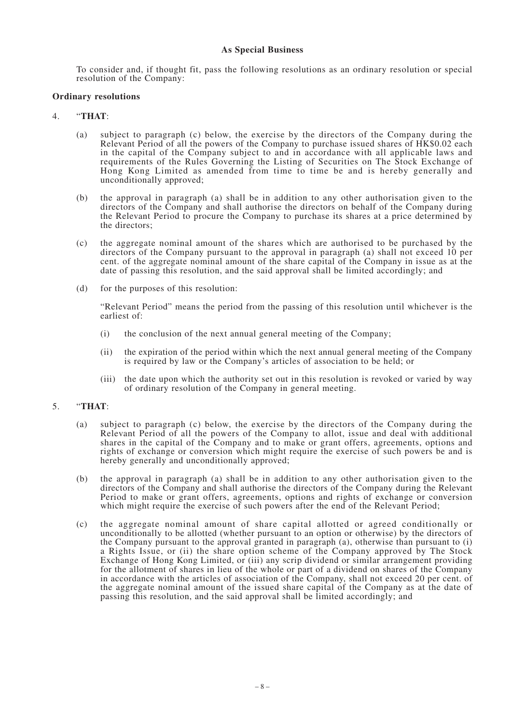# **As Special Business**

To consider and, if thought fit, pass the following resolutions as an ordinary resolution or special resolution of the Company:

# **Ordinary resolutions**

# 4. "**THAT**:

- (a) subject to paragraph (c) below, the exercise by the directors of the Company during the Relevant Period of all the powers of the Company to purchase issued shares of HK\$0.02 each in the capital of the Company subject to and in accordance with all applicable laws and requirements of the Rules Governing the Listing of Securities on The Stock Exchange of Hong Kong Limited as amended from time to time be and is hereby generally and unconditionally approved;
- (b) the approval in paragraph (a) shall be in addition to any other authorisation given to the directors of the Company and shall authorise the directors on behalf of the Company during the Relevant Period to procure the Company to purchase its shares at a price determined by the directors;
- (c) the aggregate nominal amount of the shares which are authorised to be purchased by the directors of the Company pursuant to the approval in paragraph (a) shall not exceed 10 per cent. of the aggregate nominal amount of the share capital of the Company in issue as at the date of passing this resolution, and the said approval shall be limited accordingly; and
- (d) for the purposes of this resolution:

"Relevant Period" means the period from the passing of this resolution until whichever is the earliest of:

- (i) the conclusion of the next annual general meeting of the Company;
- (ii) the expiration of the period within which the next annual general meeting of the Company is required by law or the Company's articles of association to be held; or
- (iii) the date upon which the authority set out in this resolution is revoked or varied by way of ordinary resolution of the Company in general meeting.

# 5. "**THAT**:

- (a) subject to paragraph (c) below, the exercise by the directors of the Company during the Relevant Period of all the powers of the Company to allot, issue and deal with additional shares in the capital of the Company and to make or grant offers, agreements, options and rights of exchange or conversion which might require the exercise of such powers be and is hereby generally and unconditionally approved;
- (b) the approval in paragraph (a) shall be in addition to any other authorisation given to the directors of the Company and shall authorise the directors of the Company during the Relevant Period to make or grant offers, agreements, options and rights of exchange or conversion which might require the exercise of such powers after the end of the Relevant Period;
- (c) the aggregate nominal amount of share capital allotted or agreed conditionally or unconditionally to be allotted (whether pursuant to an option or otherwise) by the directors of the Company pursuant to the approval granted in paragraph (a), otherwise than pursuant to (i) a Rights Issue, or (ii) the share option scheme of the Company approved by The Stock Exchange of Hong Kong Limited, or (iii) any scrip dividend or similar arrangement providing for the allotment of shares in lieu of the whole or part of a dividend on shares of the Company in accordance with the articles of association of the Company, shall not exceed 20 per cent. of the aggregate nominal amount of the issued share capital of the Company as at the date of passing this resolution, and the said approval shall be limited accordingly; and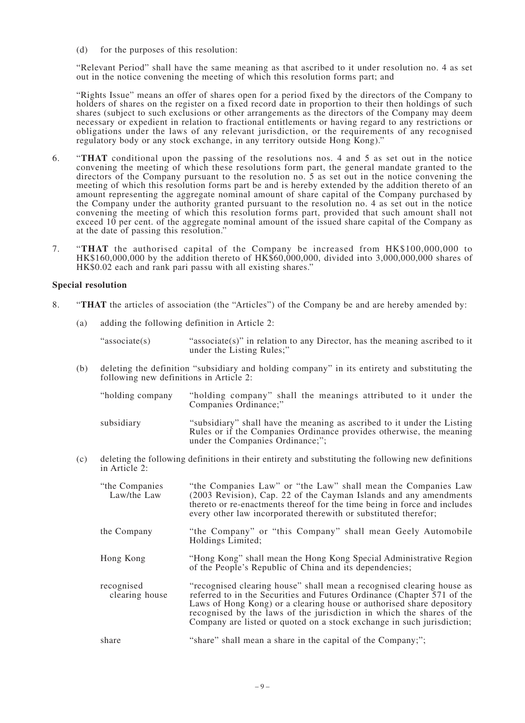(d) for the purposes of this resolution:

"Relevant Period" shall have the same meaning as that ascribed to it under resolution no. 4 as set out in the notice convening the meeting of which this resolution forms part; and

"Rights Issue" means an offer of shares open for a period fixed by the directors of the Company to holders of shares on the register on a fixed record date in proportion to their then holdings of such shares (subject to such exclusions or other arrangements as the directors of the Company may deem necessary or expedient in relation to fractional entitlements or having regard to any restrictions or obligations under the laws of any relevant jurisdiction, or the requirements of any recognised regulatory body or any stock exchange, in any territory outside Hong Kong)."

- 6. "**THAT** conditional upon the passing of the resolutions nos. 4 and 5 as set out in the notice convening the meeting of which these resolutions form part, the general mandate granted to the directors of the Company pursuant to the resolution no. 5 as set out in the notice convening the meeting of which this resolution forms part be and is hereby extended by the addition thereto of an amount representing the aggregate nominal amount of share capital of the Company purchased by the Company under the authority granted pursuant to the resolution no. 4 as set out in the notice convening the meeting of which this resolution forms part, provided that such amount shall not exceed 10 per cent. of the aggregate nominal amount of the issued share capital of the Company as at the date of passing this resolution."
- 7. "**THAT** the authorised capital of the Company be increased from HK\$100,000,000 to  $HK$160,000,000$  by the addition thereto of  $HK$60,000,000$ , divided into 3,000,000,000 shares of HK\$0.02 each and rank pari passu with all existing shares."

# **Special resolution**

- 8. "**THAT** the articles of association (the "Articles") of the Company be and are hereby amended by:
	- (a) adding the following definition in Article 2:

"associate(s) "associate(s)" in relation to any Director, has the meaning ascribed to it under the Listing Rules;"

(b) deleting the definition "subsidiary and holding company" in its entirety and substituting the following new definitions in Article 2:

| "holding company" | "holding company" shall the meanings attributed to it under the<br>Companies Ordinance;"                                                                                           |
|-------------------|------------------------------------------------------------------------------------------------------------------------------------------------------------------------------------|
| subsidiary        | "subsidiary" shall have the meaning as ascribed to it under the Listing<br>Rules or if the Companies Ordinance provides otherwise, the meaning<br>under the Companies Ordinance;"; |

(c) deleting the following definitions in their entirety and substituting the following new definitions in Article 2:

| "the Companies"<br>Law/the Law | "the Companies Law" or "the Law" shall mean the Companies Law<br>(2003 Revision), Cap. 22 of the Cayman Islands and any amendments<br>thereto or re-enactments thereof for the time being in force and includes<br>every other law incorporated therewith or substituted therefor;                                                                                           |
|--------------------------------|------------------------------------------------------------------------------------------------------------------------------------------------------------------------------------------------------------------------------------------------------------------------------------------------------------------------------------------------------------------------------|
| the Company                    | "the Company" or "this Company" shall mean Geely Automobile<br>Holdings Limited;                                                                                                                                                                                                                                                                                             |
| Hong Kong                      | "Hong Kong" shall mean the Hong Kong Special Administrative Region<br>of the People's Republic of China and its dependencies;                                                                                                                                                                                                                                                |
| recognised<br>clearing house   | "recognised clearing house" shall mean a recognised clearing house as<br>referred to in the Securities and Futures Ordinance (Chapter 571 of the<br>Laws of Hong Kong) or a clearing house or authorised share depository<br>recognised by the laws of the jurisdiction in which the shares of the<br>Company are listed or quoted on a stock exchange in such jurisdiction; |
| share                          | "share" shall mean a share in the capital of the Company;";                                                                                                                                                                                                                                                                                                                  |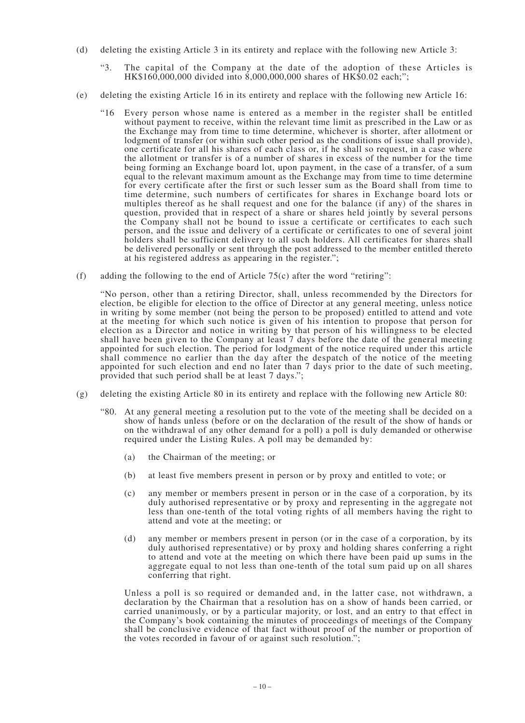- (d) deleting the existing Article 3 in its entirety and replace with the following new Article 3:
	- "3. The capital of the Company at the date of the adoption of these Articles is HK\$160,000,000 divided into 8,000,000,000 shares of HK\$0.02 each;";
- (e) deleting the existing Article 16 in its entirety and replace with the following new Article 16:
	- "16 Every person whose name is entered as a member in the register shall be entitled without payment to receive, within the relevant time limit as prescribed in the Law or as the Exchange may from time to time determine, whichever is shorter, after allotment or lodgment of transfer (or within such other period as the conditions of issue shall provide), one certificate for all his shares of each class or, if he shall so request, in a case where the allotment or transfer is of a number of shares in excess of the number for the time being forming an Exchange board lot, upon payment, in the case of a transfer, of a sum equal to the relevant maximum amount as the Exchange may from time to time determine for every certificate after the first or such lesser sum as the Board shall from time to time determine, such numbers of certificates for shares in Exchange board lots or multiples thereof as he shall request and one for the balance (if any) of the shares in question, provided that in respect of a share or shares held jointly by several persons the Company shall not be bound to issue a certificate or certificates to each such person, and the issue and delivery of a certificate or certificates to one of several joint holders shall be sufficient delivery to all such holders. All certificates for shares shall be delivered personally or sent through the post addressed to the member entitled thereto at his registered address as appearing in the register.";
- (f) adding the following to the end of Article 75(c) after the word "retiring":

"No person, other than a retiring Director, shall, unless recommended by the Directors for election, be eligible for election to the office of Director at any general meeting, unless notice in writing by some member (not being the person to be proposed) entitled to attend and vote at the meeting for which such notice is given of his intention to propose that person for election as a Director and notice in writing by that person of his willingness to be elected shall have been given to the Company at least 7 days before the date of the general meeting appointed for such election. The period for lodgment of the notice required under this article shall commence no earlier than the day after the despatch of the notice of the meeting appointed for such election and end no later than 7 days prior to the date of such meeting, provided that such period shall be at least 7 days.";

- (g) deleting the existing Article 80 in its entirety and replace with the following new Article 80:
	- "80. At any general meeting a resolution put to the vote of the meeting shall be decided on a show of hands unless (before or on the declaration of the result of the show of hands or on the withdrawal of any other demand for a poll) a poll is duly demanded or otherwise required under the Listing Rules. A poll may be demanded by:
		- (a) the Chairman of the meeting; or
		- (b) at least five members present in person or by proxy and entitled to vote; or
		- (c) any member or members present in person or in the case of a corporation, by its duly authorised representative or by proxy and representing in the aggregate not less than one-tenth of the total voting rights of all members having the right to attend and vote at the meeting; or
		- (d) any member or members present in person (or in the case of a corporation, by its duly authorised representative) or by proxy and holding shares conferring a right to attend and vote at the meeting on which there have been paid up sums in the aggregate equal to not less than one-tenth of the total sum paid up on all shares conferring that right.

Unless a poll is so required or demanded and, in the latter case, not withdrawn, a declaration by the Chairman that a resolution has on a show of hands been carried, or carried unanimously, or by a particular majority, or lost, and an entry to that effect in the Company's book containing the minutes of proceedings of meetings of the Company shall be conclusive evidence of that fact without proof of the number or proportion of the votes recorded in favour of or against such resolution.";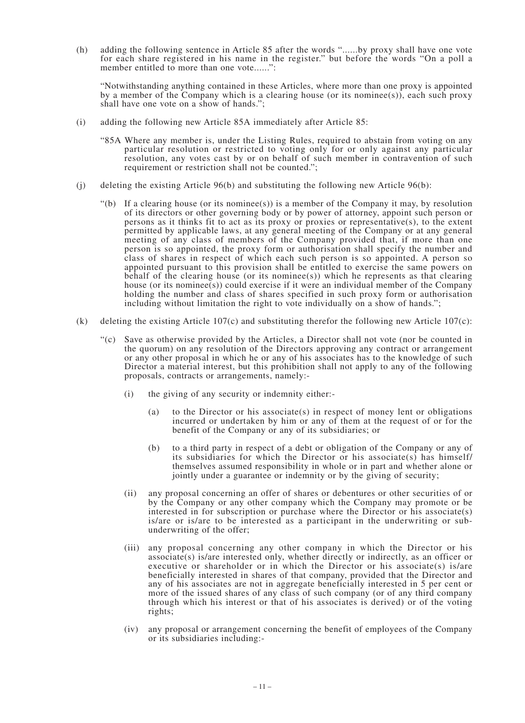(h) adding the following sentence in Article 85 after the words "......by proxy shall have one vote for each share registered in his name in the register." but before the words "On a poll a member entitled to more than one vote......":

"Notwithstanding anything contained in these Articles, where more than one proxy is appointed by a member of the Company which is a clearing house (or its nominee(s)), each such proxy shall have one vote on a show of hands.";

- (i) adding the following new Article 85A immediately after Article 85:
	- "85A Where any member is, under the Listing Rules, required to abstain from voting on any particular resolution or restricted to voting only for or only against any particular resolution, any votes cast by or on behalf of such member in contravention of such requirement or restriction shall not be counted.";
- (i) deleting the existing Article  $96(b)$  and substituting the following new Article  $96(b)$ :
	- "(b) If a clearing house (or its nominee(s)) is a member of the Company it may, by resolution of its directors or other governing body or by power of attorney, appoint such person or persons as it thinks fit to act as its proxy or proxies or representative(s), to the extent permitted by applicable laws, at any general meeting of the Company or at any general meeting of any class of members of the Company provided that, if more than one person is so appointed, the proxy form or authorisation shall specify the number and class of shares in respect of which each such person is so appointed. A person so appointed pursuant to this provision shall be entitled to exercise the same powers on behalf of the clearing house (or its nominee(s)) which he represents as that clearing house (or its nominee(s)) could exercise if it were an individual member of the Company holding the number and class of shares specified in such proxy form or authorisation including without limitation the right to vote individually on a show of hands.";
- (k) deleting the existing Article 107(c) and substituting therefor the following new Article 107(c):
	- "(c) Save as otherwise provided by the Articles, a Director shall not vote (nor be counted in the quorum) on any resolution of the Directors approving any contract or arrangement or any other proposal in which he or any of his associates has to the knowledge of such Director a material interest, but this prohibition shall not apply to any of the following proposals, contracts or arrangements, namely:-
		- (i) the giving of any security or indemnity either:-
			- (a) to the Director or his associate(s) in respect of money lent or obligations incurred or undertaken by him or any of them at the request of or for the benefit of the Company or any of its subsidiaries; or
			- (b) to a third party in respect of a debt or obligation of the Company or any of its subsidiaries for which the Director or his associate(s) has himself/ themselves assumed responsibility in whole or in part and whether alone or jointly under a guarantee or indemnity or by the giving of security;
		- (ii) any proposal concerning an offer of shares or debentures or other securities of or by the Company or any other company which the Company may promote or be interested in for subscription or purchase where the Director or his associate(s) is/are or is/are to be interested as a participant in the underwriting or subunderwriting of the offer;
		- (iii) any proposal concerning any other company in which the Director or his associate(s) is/are interested only, whether directly or indirectly, as an officer or executive or shareholder or in which the Director or his associate(s) is/are beneficially interested in shares of that company, provided that the Director and any of his associates are not in aggregate beneficially interested in 5 per cent or more of the issued shares of any class of such company (or of any third company through which his interest or that of his associates is derived) or of the voting rights;
		- (iv) any proposal or arrangement concerning the benefit of employees of the Company or its subsidiaries including:-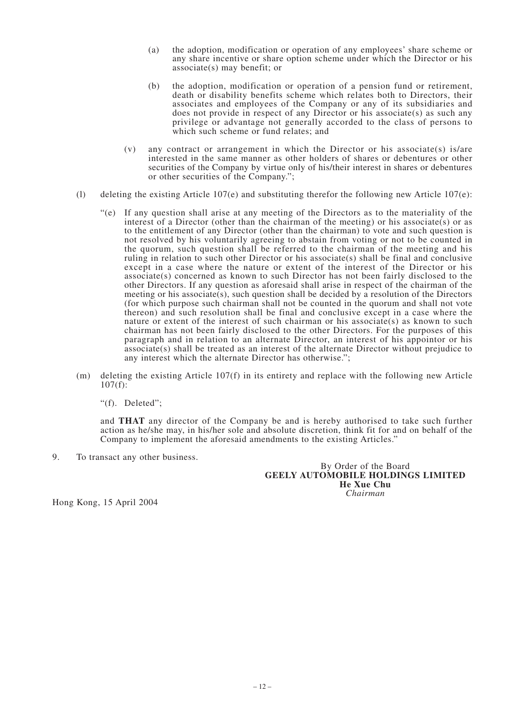- (a) the adoption, modification or operation of any employees' share scheme or any share incentive or share option scheme under which the Director or his associate(s) may benefit; or
- (b) the adoption, modification or operation of a pension fund or retirement, death or disability benefits scheme which relates both to Directors, their associates and employees of the Company or any of its subsidiaries and does not provide in respect of any Director or his associate(s) as such any privilege or advantage not generally accorded to the class of persons to which such scheme or fund relates; and
- (v) any contract or arrangement in which the Director or his associate(s) is/are interested in the same manner as other holders of shares or debentures or other securities of the Company by virtue only of his/their interest in shares or debentures or other securities of the Company.";
- (1) deleting the existing Article 107(e) and substituting therefor the following new Article 107(e):
	- "(e) If any question shall arise at any meeting of the Directors as to the materiality of the interest of a Director (other than the chairman of the meeting) or his associate(s) or as to the entitlement of any Director (other than the chairman) to vote and such question is not resolved by his voluntarily agreeing to abstain from voting or not to be counted in the quorum, such question shall be referred to the chairman of the meeting and his ruling in relation to such other Director or his associate(s) shall be final and conclusive except in a case where the nature or extent of the interest of the Director or his associate(s) concerned as known to such Director has not been fairly disclosed to the other Directors. If any question as aforesaid shall arise in respect of the chairman of the meeting or his associate(s), such question shall be decided by a resolution of the Directors (for which purpose such chairman shall not be counted in the quorum and shall not vote thereon) and such resolution shall be final and conclusive except in a case where the nature or extent of the interest of such chairman or his associate(s) as known to such chairman has not been fairly disclosed to the other Directors. For the purposes of this paragraph and in relation to an alternate Director, an interest of his appointor or his associate(s) shall be treated as an interest of the alternate Director without prejudice to any interest which the alternate Director has otherwise.";
- (m) deleting the existing Article 107(f) in its entirety and replace with the following new Article  $107(f)$ :

"(f). Deleted";

and **THAT** any director of the Company be and is hereby authorised to take such further action as he/she may, in his/her sole and absolute discretion, think fit for and on behalf of the Company to implement the aforesaid amendments to the existing Articles."

9. To transact any other business.

By Order of the Board **GEELY AUTOMOBILE HOLDINGS LIMITED He Xue Chu** *Chairman*

Hong Kong, 15 April 2004